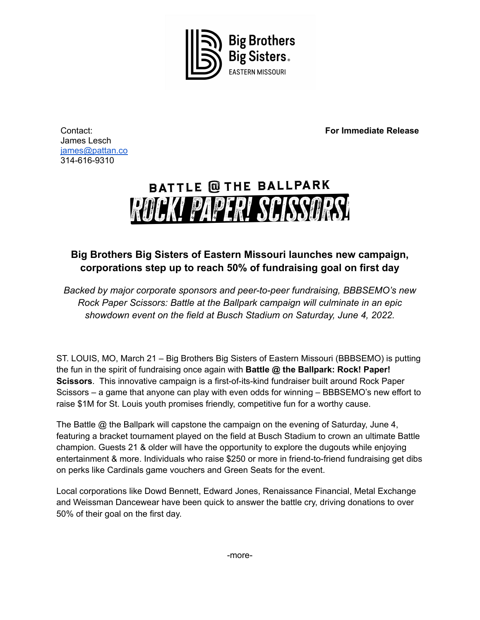

**For Immediate Release**

Contact: James Lesch [james@pattan.co](mailto:james@pattan.co) 314-616-9310

## **BATTLE @ THE BALLPARK** ROCK! PAPER! SCISSORS!

## **Big Brothers Big Sisters of Eastern Missouri launches new campaign, corporations step up to reach 50% of fundraising goal on first day**

*Backed by major corporate sponsors and peer-to-peer fundraising, BBBSEMO's new Rock Paper Scissors: Battle at the Ballpark campaign will culminate in an epic showdown event on the field at Busch Stadium on Saturday, June 4, 2022.*

ST. LOUIS, MO, March 21 – Big Brothers Big Sisters of Eastern Missouri (BBBSEMO) is putting the fun in the spirit of fundraising once again with **Battle @ the Ballpark: Rock! Paper! Scissors**. This innovative campaign is a first-of-its-kind fundraiser built around Rock Paper Scissors – a game that anyone can play with even odds for winning – BBBSEMO's new effort to raise \$1M for St. Louis youth promises friendly, competitive fun for a worthy cause.

The Battle @ the Ballpark will capstone the campaign on the evening of Saturday, June 4, featuring a bracket tournament played on the field at Busch Stadium to crown an ultimate Battle champion. Guests 21 & older will have the opportunity to explore the dugouts while enjoying entertainment & more. Individuals who raise \$250 or more in friend-to-friend fundraising get dibs on perks like Cardinals game vouchers and Green Seats for the event.

Local corporations like Dowd Bennett, Edward Jones, Renaissance Financial, Metal Exchange and Weissman Dancewear have been quick to answer the battle cry, driving donations to over 50% of their goal on the first day.